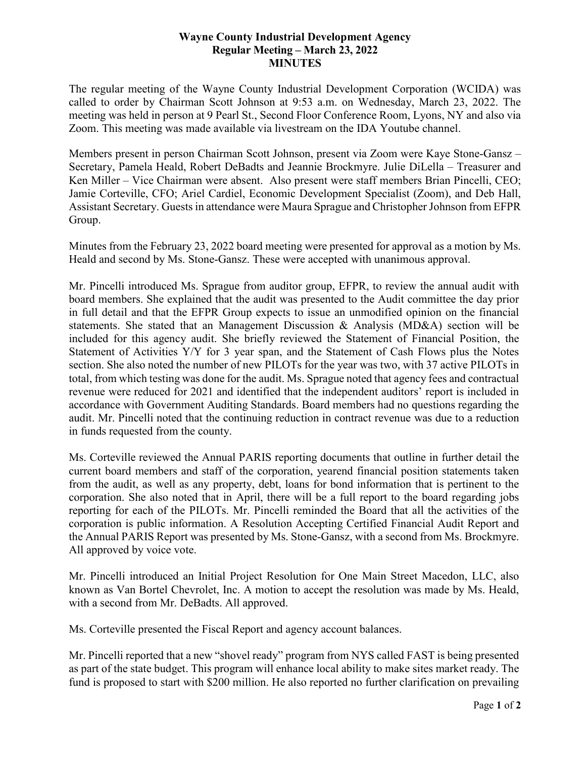## **Wayne County Industrial Development Agency Regular Meeting – March 23, 2022 MINUTES**

The regular meeting of the Wayne County Industrial Development Corporation (WCIDA) was called to order by Chairman Scott Johnson at 9:53 a.m. on Wednesday, March 23, 2022. The meeting was held in person at 9 Pearl St., Second Floor Conference Room, Lyons, NY and also via Zoom. This meeting was made available via livestream on the IDA Youtube channel.

Members present in person Chairman Scott Johnson, present via Zoom were Kaye Stone-Gansz – Secretary, Pamela Heald, Robert DeBadts and Jeannie Brockmyre. Julie DiLella – Treasurer and Ken Miller – Vice Chairman were absent. Also present were staff members Brian Pincelli, CEO; Jamie Corteville, CFO; Ariel Cardiel, Economic Development Specialist (Zoom), and Deb Hall, Assistant Secretary. Guests in attendance were Maura Sprague and Christopher Johnson from EFPR Group.

Minutes from the February 23, 2022 board meeting were presented for approval as a motion by Ms. Heald and second by Ms. Stone-Gansz. These were accepted with unanimous approval.

Mr. Pincelli introduced Ms. Sprague from auditor group, EFPR, to review the annual audit with board members. She explained that the audit was presented to the Audit committee the day prior in full detail and that the EFPR Group expects to issue an unmodified opinion on the financial statements. She stated that an Management Discussion & Analysis (MD&A) section will be included for this agency audit. She briefly reviewed the Statement of Financial Position, the Statement of Activities Y/Y for 3 year span, and the Statement of Cash Flows plus the Notes section. She also noted the number of new PILOTs for the year was two, with 37 active PILOTs in total, from which testing was done for the audit. Ms. Sprague noted that agency fees and contractual revenue were reduced for 2021 and identified that the independent auditors' report is included in accordance with Government Auditing Standards. Board members had no questions regarding the audit. Mr. Pincelli noted that the continuing reduction in contract revenue was due to a reduction in funds requested from the county.

Ms. Corteville reviewed the Annual PARIS reporting documents that outline in further detail the current board members and staff of the corporation, yearend financial position statements taken from the audit, as well as any property, debt, loans for bond information that is pertinent to the corporation. She also noted that in April, there will be a full report to the board regarding jobs reporting for each of the PILOTs. Mr. Pincelli reminded the Board that all the activities of the corporation is public information. A Resolution Accepting Certified Financial Audit Report and the Annual PARIS Report was presented by Ms. Stone-Gansz, with a second from Ms. Brockmyre. All approved by voice vote.

Mr. Pincelli introduced an Initial Project Resolution for One Main Street Macedon, LLC, also known as Van Bortel Chevrolet, Inc. A motion to accept the resolution was made by Ms. Heald, with a second from Mr. DeBadts. All approved.

Ms. Corteville presented the Fiscal Report and agency account balances.

Mr. Pincelli reported that a new "shovel ready" program from NYS called FAST is being presented as part of the state budget. This program will enhance local ability to make sites market ready. The fund is proposed to start with \$200 million. He also reported no further clarification on prevailing